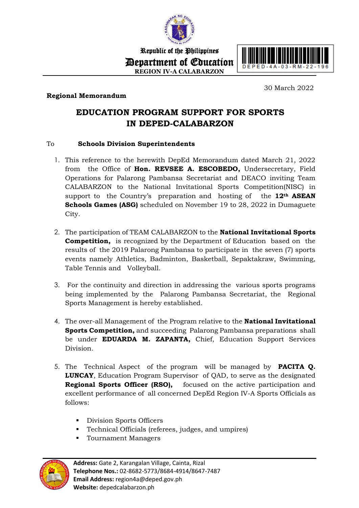

Republic of the Philippines Department of Education **REGION IV-A CALABARZON**



## **Regional Memorandum**

30 March 2022

## **EDUCATION PROGRAM SUPPORT FOR SPORTS IN DEPED-CALABARZON**

## To **Schools Division Superintendents**

- 1. This reference to the herewith DepEd Memorandum dated March 21, 2022 from the Office of **Hon. REVSEE A. ESCOBEDO,** Undersecretary, Field Operations for Palarong Pambansa Secretariat and DEACO inviting Team CALABARZON to the National Invitational Sports Competition(NISC) in support to the Country's preparation and hosting of the **12th ASEAN Schools Games (ASG)** scheduled on November 19 to 28, 2022 in Dumaguete City.
- 2. The participation of TEAM CALABARZON to the **National Invitational Sports Competition,** is recognized by the Department of Education based on the results of the 2019 Palarong Pambansa to participate in the seven (7) sports events namely Athletics, Badminton, Basketball, Sepaktakraw, Swimming, Table Tennis and Volleyball.
- 3. For the continuity and direction in addressing the various sports programs being implemented by the Palarong Pambansa Secretariat, the Regional Sports Management is hereby established.
- 4. The over-all Management of the Program relative to the **National Invitational Sports Competition,** and succeeding Palarong Pambansa preparations shall be under **EDUARDA M. ZAPANTA,** Chief, Education Support Services Division.
- 5. The Technical Aspect of the program will be managed by **PACITA Q. LUNCAY**, Education Program Supervisor of QAD, to serve as the designated **Regional Sports Officer (RSO),** focused on the active participation and excellent performance of all concerned DepEd Region IV-A Sports Officials as follows:
	- **Division Sports Officers**
	- Technical Officials (referees, judges, and umpires)
	- **Tournament Managers**